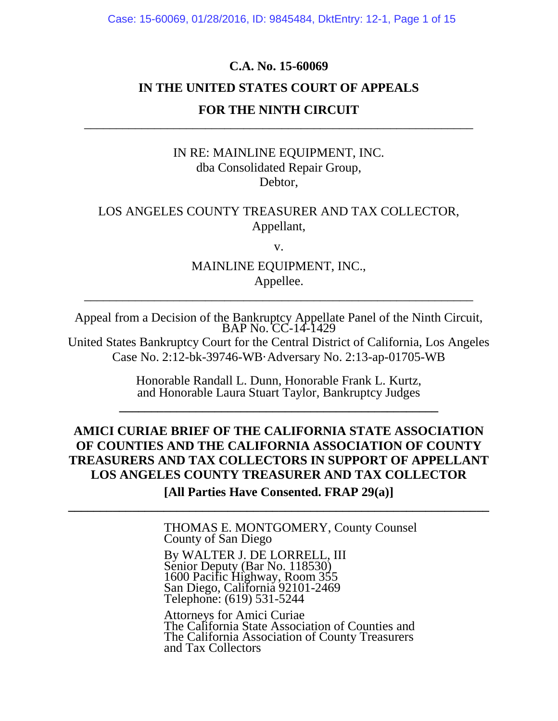#### **C.A. No. 15-60069**

# **IN THE UNITED STATES COURT OF APPEALS FOR THE NINTH CIRCUIT**

\_\_\_\_\_\_\_\_\_\_\_\_\_\_\_\_\_\_\_\_\_\_\_\_\_\_\_\_\_\_\_\_\_\_\_\_\_\_\_\_\_\_\_\_\_\_\_\_\_\_\_\_\_\_\_\_\_\_\_\_\_

#### IN RE: MAINLINE EQUIPMENT, INC. dba Consolidated Repair Group, Debtor,

#### LOS ANGELES COUNTY TREASURER AND TAX COLLECTOR, Appellant,

v.

### MAINLINE EQUIPMENT, INC., Appellee.

\_\_\_\_\_\_\_\_\_\_\_\_\_\_\_\_\_\_\_\_\_\_\_\_\_\_\_\_\_\_\_\_\_\_\_\_\_\_\_\_\_\_\_\_\_\_\_\_\_\_\_\_\_\_\_\_\_\_\_\_\_

Appeal from a Decision of the Bankruptcy Appellate Panel of the Ninth Circuit, BAP No. CC-14-1429

United States Bankruptcy Court for the Central District of California, Los Angeles Case No. 2:12-bk-39746-WB·Adversary No. 2:13-ap-01705-WB

> Honorable Randall L. Dunn, Honorable Frank L. Kurtz, and Honorable Laura Stuart Taylor, Bankruptcy Judges

**\_\_\_\_\_\_\_\_\_\_\_\_\_\_\_\_\_\_\_\_\_\_\_\_\_\_\_\_\_\_\_\_\_\_\_\_\_\_\_\_\_\_\_\_\_\_\_\_\_\_**

## **AMICI CURIAE BRIEF OF THE CALIFORNIA STATE ASSOCIATION OF COUNTIES AND THE CALIFORNIA ASSOCIATION OF COUNTY TREASURERS AND TAX COLLECTORS IN SUPPORT OF APPELLANT LOS ANGELES COUNTY TREASURER AND TAX COLLECTOR**

**[All Parties Have Consented. FRAP 29(a)] \_\_\_\_\_\_\_\_\_\_\_\_\_\_\_\_\_\_\_\_\_\_\_\_\_\_\_\_\_\_\_\_\_\_\_\_\_\_\_\_\_\_\_\_\_\_\_\_\_\_\_\_\_\_\_\_\_\_\_\_\_\_\_\_\_\_**

> THOMAS E. MONTGOMERY, County Counsel County of San Diego

By WALTER J. DE LORRELL, III Sénior Deputy (Bar No. 118530) 1600 Pacific Highway, Room 355 San Diego, California 92101-2469 Telephone: (619) 531-5244

Attorneys for Amici Curiae The California State Association of Counties and The California Association of County Treasurers and Tax Collectors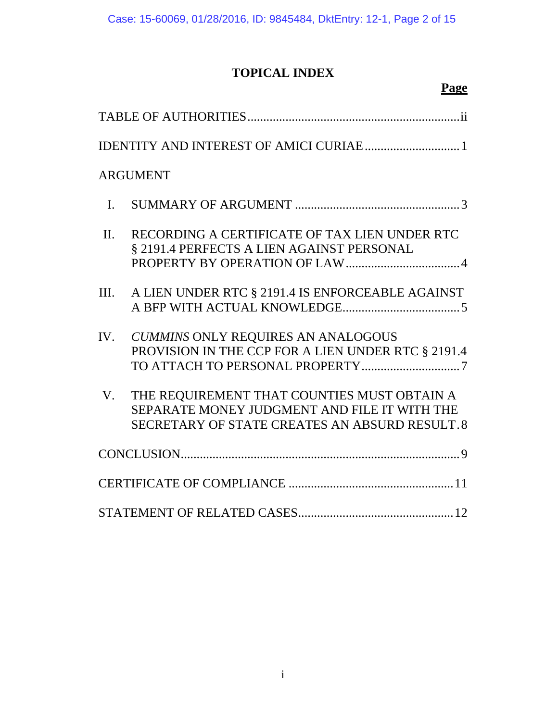# **TOPICAL INDEX**

| <b>ARGUMENT</b>                                                                                                                                             |  |  |  |
|-------------------------------------------------------------------------------------------------------------------------------------------------------------|--|--|--|
| $\mathbf{I}$ .                                                                                                                                              |  |  |  |
| RECORDING A CERTIFICATE OF TAX LIEN UNDER RTC<br>$\Pi$ .<br>§ 2191.4 PERFECTS A LIEN AGAINST PERSONAL                                                       |  |  |  |
| A LIEN UNDER RTC § 2191.4 IS ENFORCEABLE AGAINST<br>III.                                                                                                    |  |  |  |
| <b>CUMMINS ONLY REQUIRES AN ANALOGOUS</b><br>IV.<br>PROVISION IN THE CCP FOR A LIEN UNDER RTC § 2191.4                                                      |  |  |  |
| THE REQUIREMENT THAT COUNTIES MUST OBTAIN A<br>$V_{\cdot}$<br>SEPARATE MONEY JUDGMENT AND FILE IT WITH THE<br>SECRETARY OF STATE CREATES AN ABSURD RESULT.8 |  |  |  |
|                                                                                                                                                             |  |  |  |
|                                                                                                                                                             |  |  |  |
|                                                                                                                                                             |  |  |  |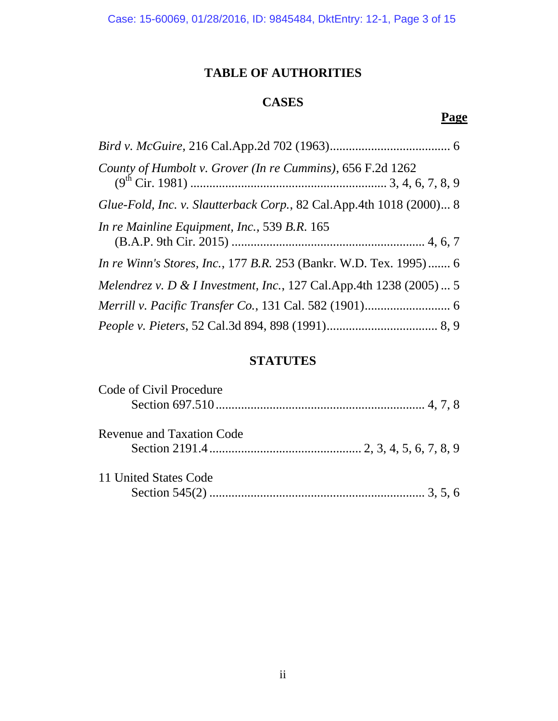## **TABLE OF AUTHORITIES**

## **CASES**

## **Page**

| County of Humbolt v. Grover (In re Cummins), 656 F.2d 1262               |  |
|--------------------------------------------------------------------------|--|
| Glue-Fold, Inc. v. Slautterback Corp., 82 Cal.App.4th 1018 (2000) 8      |  |
| In re Mainline Equipment, Inc., 539 B.R. 165                             |  |
| <i>In re Winn's Stores, Inc., 177 B.R. 253 (Bankr. W.D. Tex. 1995) 6</i> |  |
| Melendrez v. D & I Investment, Inc., 127 Cal.App.4th 1238 (2005)  5      |  |
|                                                                          |  |
|                                                                          |  |

## **STATUTES**

| Code of Civil Procedure   |  |
|---------------------------|--|
|                           |  |
| Revenue and Taxation Code |  |
|                           |  |
| 11 United States Code     |  |
|                           |  |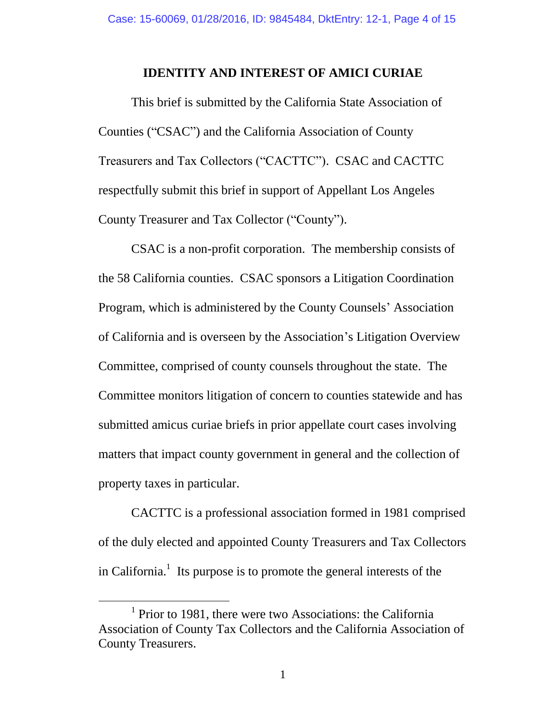#### **IDENTITY AND INTEREST OF AMICI CURIAE**

This brief is submitted by the California State Association of Counties ("CSAC") and the California Association of County Treasurers and Tax Collectors ("CACTTC"). CSAC and CACTTC respectfully submit this brief in support of Appellant Los Angeles County Treasurer and Tax Collector ("County").

CSAC is a non-profit corporation. The membership consists of the 58 California counties. CSAC sponsors a Litigation Coordination Program, which is administered by the County Counsels' Association of California and is overseen by the Association's Litigation Overview Committee, comprised of county counsels throughout the state. The Committee monitors litigation of concern to counties statewide and has submitted amicus curiae briefs in prior appellate court cases involving matters that impact county government in general and the collection of property taxes in particular.

CACTTC is a professional association formed in 1981 comprised of the duly elected and appointed County Treasurers and Tax Collectors in California.<sup>1</sup> Its purpose is to promote the general interests of the

 $\overline{a}$ 

<sup>&</sup>lt;sup>1</sup> Prior to 1981, there were two Associations: the California Association of County Tax Collectors and the California Association of County Treasurers.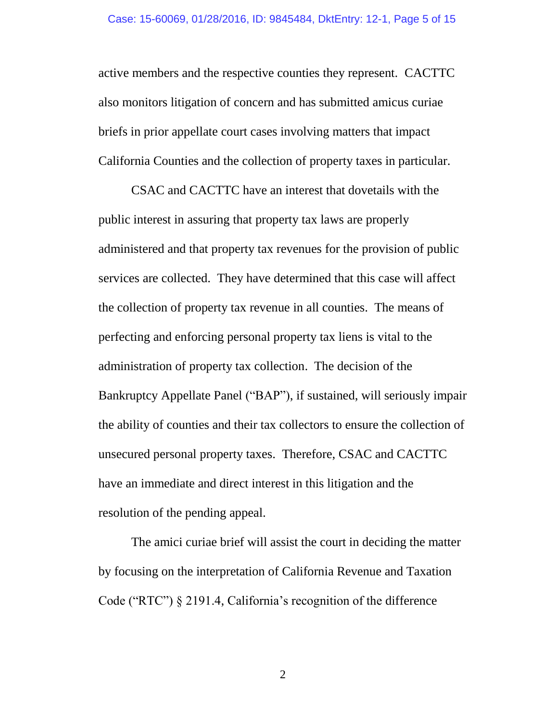active members and the respective counties they represent. CACTTC also monitors litigation of concern and has submitted amicus curiae briefs in prior appellate court cases involving matters that impact California Counties and the collection of property taxes in particular.

CSAC and CACTTC have an interest that dovetails with the public interest in assuring that property tax laws are properly administered and that property tax revenues for the provision of public services are collected. They have determined that this case will affect the collection of property tax revenue in all counties. The means of perfecting and enforcing personal property tax liens is vital to the administration of property tax collection. The decision of the Bankruptcy Appellate Panel ("BAP"), if sustained, will seriously impair the ability of counties and their tax collectors to ensure the collection of unsecured personal property taxes. Therefore, CSAC and CACTTC have an immediate and direct interest in this litigation and the resolution of the pending appeal.

The amici curiae brief will assist the court in deciding the matter by focusing on the interpretation of California Revenue and Taxation Code ("RTC") § 2191.4, California's recognition of the difference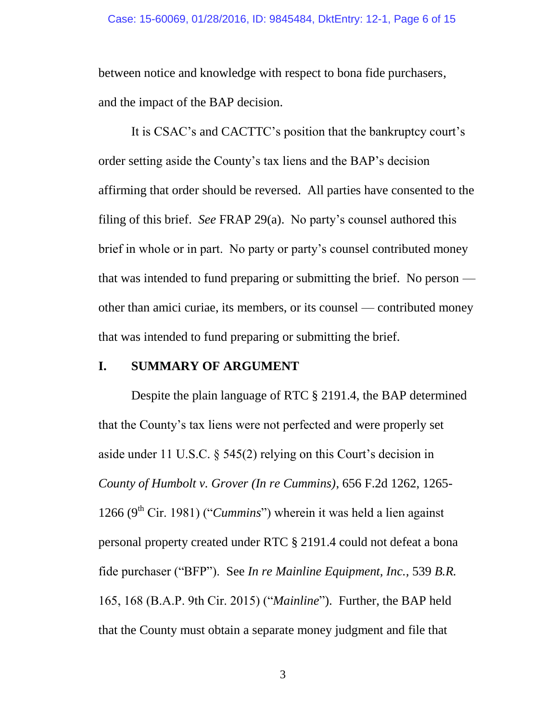between notice and knowledge with respect to bona fide purchasers, and the impact of the BAP decision.

It is CSAC's and CACTTC's position that the bankruptcy court's order setting aside the County's tax liens and the BAP's decision affirming that order should be reversed. All parties have consented to the filing of this brief. *See* FRAP 29(a). No party's counsel authored this brief in whole or in part. No party or party's counsel contributed money that was intended to fund preparing or submitting the brief. No person other than amici curiae, its members, or its counsel — contributed money that was intended to fund preparing or submitting the brief.

#### **I. SUMMARY OF ARGUMENT**

Despite the plain language of RTC § 2191.4, the BAP determined that the County's tax liens were not perfected and were properly set aside under 11 U.S.C. § 545(2) relying on this Court's decision in *County of Humbolt v. Grover (In re Cummins)*, 656 F.2d 1262, 1265- 1266 ( $9<sup>th</sup>$  Cir. 1981) ("*Cummins*") wherein it was held a lien against personal property created under RTC § 2191.4 could not defeat a bona fide purchaser ("BFP"). See *In re Mainline Equipment, Inc.,* 539 *B.R.* 165, 168 (B.A.P. 9th Cir. 2015) ("*Mainline*"). Further, the BAP held that the County must obtain a separate money judgment and file that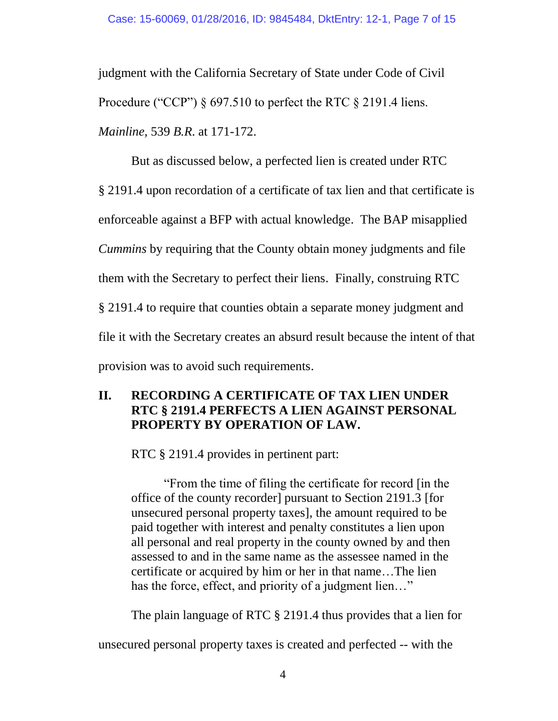judgment with the California Secretary of State under Code of Civil Procedure ("CCP")  $\S 697.510$  to perfect the RTC  $\S 2191.4$  liens. *Mainline,* 539 *B.R*. at 171-172.

But as discussed below, a perfected lien is created under RTC § 2191.4 upon recordation of a certificate of tax lien and that certificate is enforceable against a BFP with actual knowledge. The BAP misapplied *Cummins* by requiring that the County obtain money judgments and file them with the Secretary to perfect their liens. Finally, construing RTC § 2191.4 to require that counties obtain a separate money judgment and file it with the Secretary creates an absurd result because the intent of that provision was to avoid such requirements.

### **II. RECORDING A CERTIFICATE OF TAX LIEN UNDER RTC § 2191.4 PERFECTS A LIEN AGAINST PERSONAL PROPERTY BY OPERATION OF LAW.**

RTC § 2191.4 provides in pertinent part:

"From the time of filing the certificate for record [in the office of the county recorder] pursuant to Section 2191.3 [for unsecured personal property taxes], the amount required to be paid together with interest and penalty constitutes a lien upon all personal and real property in the county owned by and then assessed to and in the same name as the assessee named in the certificate or acquired by him or her in that name…The lien has the force, effect, and priority of a judgment lien..."

The plain language of RTC § 2191.4 thus provides that a lien for

unsecured personal property taxes is created and perfected -- with the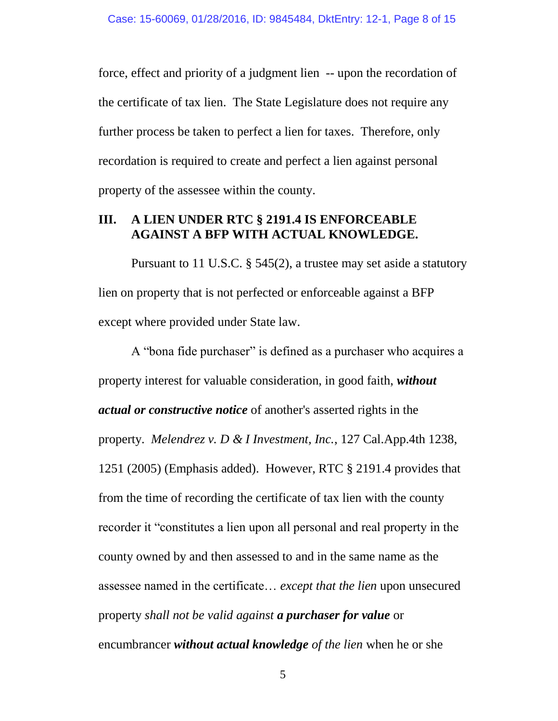force, effect and priority of a judgment lien -- upon the recordation of the certificate of tax lien. The State Legislature does not require any further process be taken to perfect a lien for taxes. Therefore, only recordation is required to create and perfect a lien against personal property of the assessee within the county.

#### **III. A LIEN UNDER RTC § 2191.4 IS ENFORCEABLE AGAINST A BFP WITH ACTUAL KNOWLEDGE.**

Pursuant to 11 U.S.C. § 545(2), a trustee may set aside a statutory lien on property that is not perfected or enforceable against a BFP except where provided under State law.

A "bona fide purchaser" is defined as a purchaser who acquires a property interest for valuable consideration, in good faith, *without actual or constructive notice* of another's asserted rights in the property. *Melendrez v. D & I Investment, Inc.*, 127 Cal.App.4th 1238, 1251 (2005) (Emphasis added). However, RTC § 2191.4 provides that from the time of recording the certificate of tax lien with the county recorder it "constitutes a lien upon all personal and real property in the county owned by and then assessed to and in the same name as the assessee named in the certificate… *except that the lien* upon unsecured property *shall not be valid against a purchaser for value* or encumbrancer *without actual knowledge of the lien* when he or she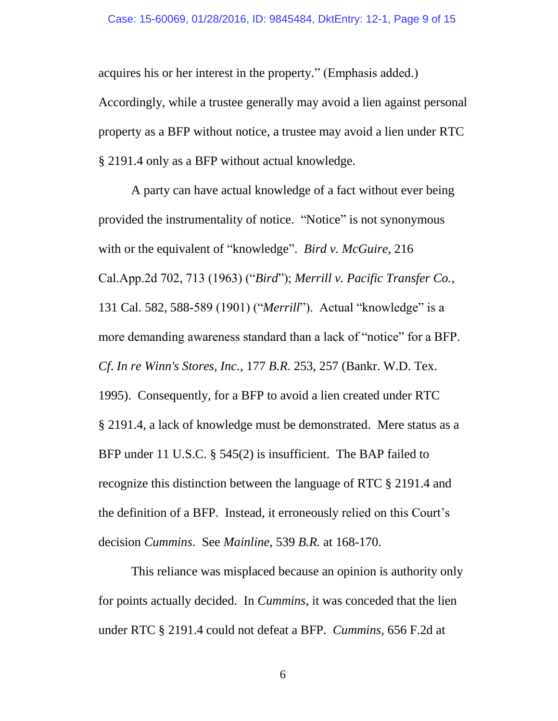acquires his or her interest in the property." (Emphasis added.) Accordingly, while a trustee generally may avoid a lien against personal property as a BFP without notice, a trustee may avoid a lien under RTC § 2191.4 only as a BFP without actual knowledge.

A party can have actual knowledge of a fact without ever being provided the instrumentality of notice. "Notice" is not synonymous with or the equivalent of "knowledge". *Bird v. McGuire*, 216 Cal.App.2d 702, 713 (1963) ("*Bird*"); *Merrill v. Pacific Transfer Co.*, 131 Cal. 582, 588-589 (1901) ("*Merrill*"). Actual "knowledge" is a more demanding awareness standard than a lack of "notice" for a BFP. *Cf*. *In re Winn's Stores, Inc.*, 177 *B.R*. 253, 257 (Bankr. W.D. Tex. 1995). Consequently, for a BFP to avoid a lien created under RTC § 2191.4, a lack of knowledge must be demonstrated. Mere status as a BFP under 11 U.S.C. § 545(2) is insufficient. The BAP failed to recognize this distinction between the language of RTC § 2191.4 and the definition of a BFP. Instead, it erroneously relied on this Court's decision *Cummins*. See *Mainline,* 539 *B.R.* at 168-170.

This reliance was misplaced because an opinion is authority only for points actually decided. In *Cummins*, it was conceded that the lien under RTC § 2191.4 could not defeat a BFP. *Cummins*, 656 F.2d at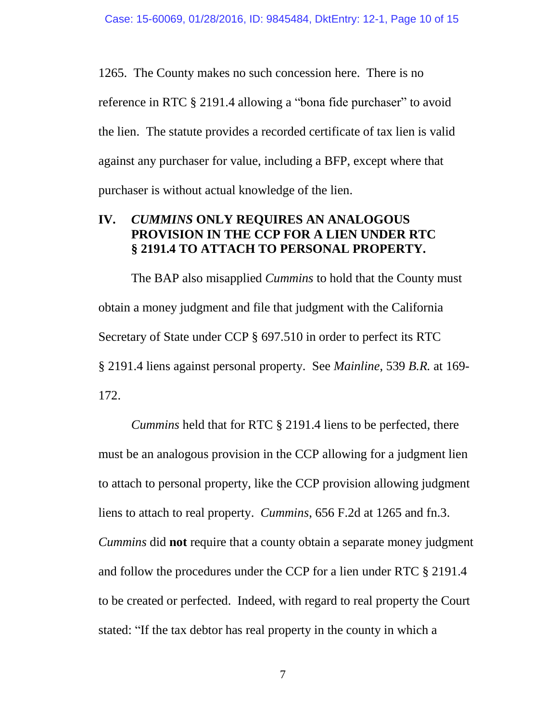1265. The County makes no such concession here. There is no reference in RTC § 2191.4 allowing a "bona fide purchaser" to avoid the lien. The statute provides a recorded certificate of tax lien is valid against any purchaser for value, including a BFP, except where that purchaser is without actual knowledge of the lien.

#### **IV.** *CUMMINS* **ONLY REQUIRES AN ANALOGOUS PROVISION IN THE CCP FOR A LIEN UNDER RTC § 2191.4 TO ATTACH TO PERSONAL PROPERTY.**

The BAP also misapplied *Cummins* to hold that the County must obtain a money judgment and file that judgment with the California Secretary of State under CCP § 697.510 in order to perfect its RTC § 2191.4 liens against personal property. See *Mainline*, 539 *B.R.* at 169- 172.

*Cummins* held that for RTC § 2191.4 liens to be perfected, there must be an analogous provision in the CCP allowing for a judgment lien to attach to personal property, like the CCP provision allowing judgment liens to attach to real property. *Cummins*, 656 F.2d at 1265 and fn.3. *Cummins* did **not** require that a county obtain a separate money judgment and follow the procedures under the CCP for a lien under RTC § 2191.4 to be created or perfected. Indeed, with regard to real property the Court stated: "If the tax debtor has real property in the county in which a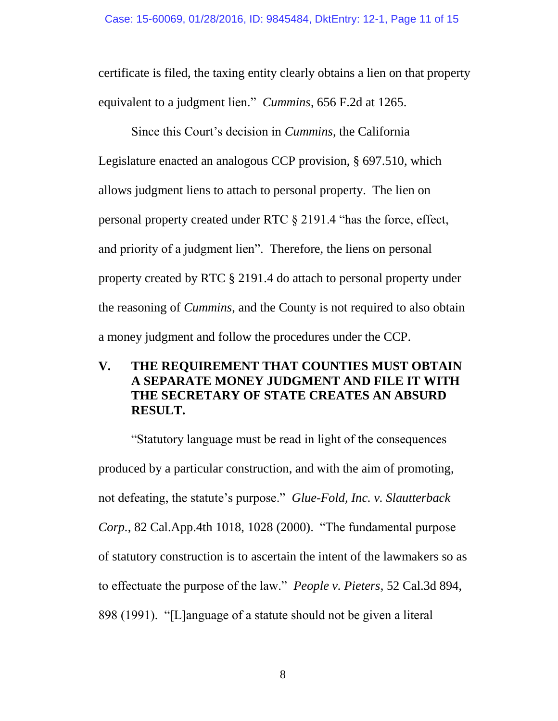certificate is filed, the taxing entity clearly obtains a lien on that property equivalent to a judgment lien." *Cummins*, 656 F.2d at 1265.

Since this Court's decision in *Cummins*, the California Legislature enacted an analogous CCP provision, § 697.510, which allows judgment liens to attach to personal property. The lien on personal property created under RTC § 2191.4 "has the force, effect, and priority of a judgment lien". Therefore, the liens on personal property created by RTC § 2191.4 do attach to personal property under the reasoning of *Cummins*, and the County is not required to also obtain a money judgment and follow the procedures under the CCP.

## **V. THE REQUIREMENT THAT COUNTIES MUST OBTAIN A SEPARATE MONEY JUDGMENT AND FILE IT WITH THE SECRETARY OF STATE CREATES AN ABSURD RESULT.**

"Statutory language must be read in light of the consequences produced by a particular construction, and with the aim of promoting, not defeating, the statute's purpose." *Glue-Fold, Inc. v. Slautterback Corp.*, 82 Cal.App.4th 1018, 1028 (2000). "The fundamental purpose of statutory construction is to ascertain the intent of the lawmakers so as to effectuate the purpose of the law." *People v. Pieters*, 52 Cal.3d 894, 898 (1991). "[L]anguage of a statute should not be given a literal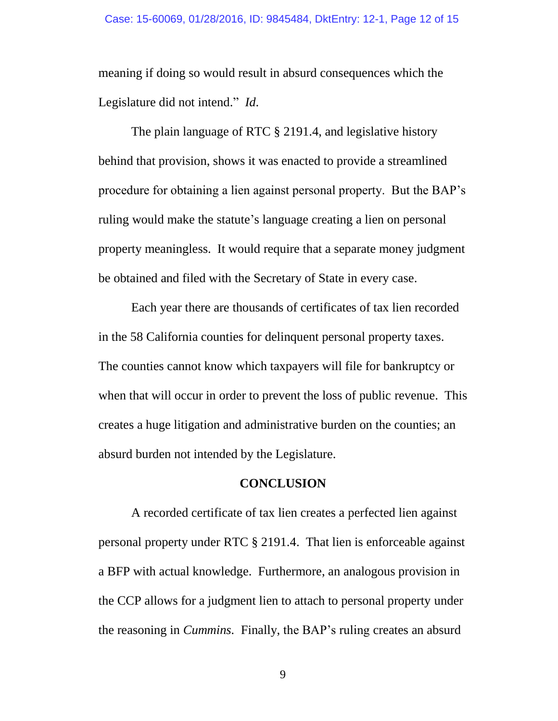meaning if doing so would result in absurd consequences which the Legislature did not intend." *Id*.

The plain language of RTC § 2191.4, and legislative history behind that provision, shows it was enacted to provide a streamlined procedure for obtaining a lien against personal property. But the BAP's ruling would make the statute's language creating a lien on personal property meaningless. It would require that a separate money judgment be obtained and filed with the Secretary of State in every case.

Each year there are thousands of certificates of tax lien recorded in the 58 California counties for delinquent personal property taxes. The counties cannot know which taxpayers will file for bankruptcy or when that will occur in order to prevent the loss of public revenue. This creates a huge litigation and administrative burden on the counties; an absurd burden not intended by the Legislature.

#### **CONCLUSION**

A recorded certificate of tax lien creates a perfected lien against personal property under RTC § 2191.4. That lien is enforceable against a BFP with actual knowledge. Furthermore, an analogous provision in the CCP allows for a judgment lien to attach to personal property under the reasoning in *Cummins.* Finally, the BAP's ruling creates an absurd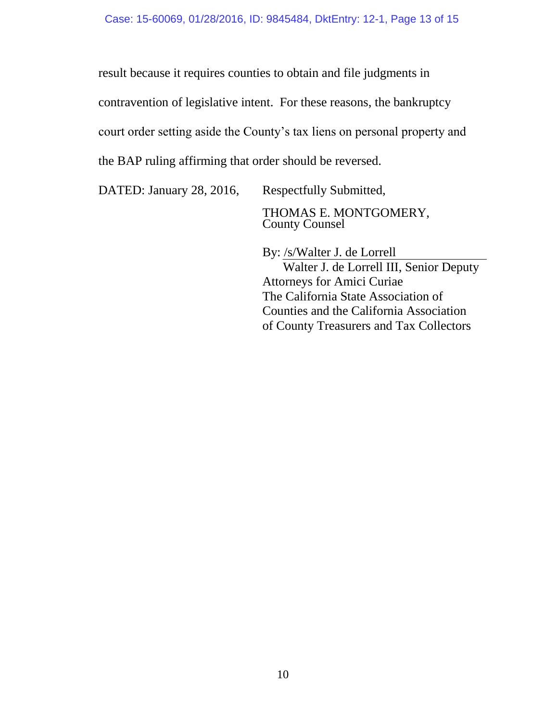result because it requires counties to obtain and file judgments in

contravention of legislative intent. For these reasons, the bankruptcy

court order setting aside the County's tax liens on personal property and

the BAP ruling affirming that order should be reversed.

DATED: January 28, 2016, Respectfully Submitted,

THOMAS E. MONTGOMERY, County Counsel

By: /s/Walter J. de Lorrell Walter J. de Lorrell III, Senior Deputy Attorneys for Amici Curiae The California State Association of Counties and the California Association of County Treasurers and Tax Collectors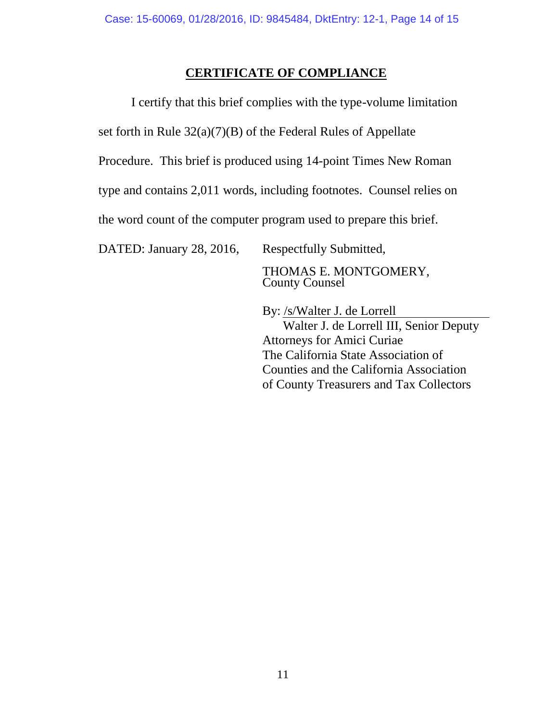## **CERTIFICATE OF COMPLIANCE**

I certify that this brief complies with the type-volume limitation set forth in Rule 32(a)(7)(B) of the Federal Rules of Appellate Procedure. This brief is produced using 14-point Times New Roman type and contains 2,011 words, including footnotes. Counsel relies on the word count of the computer program used to prepare this brief. DATED: January 28, 2016, Respectfully Submitted, THOMAS E. MONTGOMERY, County Counsel By: /s/Walter J. de Lorrell Walter J. de Lorrell III, Senior Deputy Attorneys for Amici Curiae

The California State Association of Counties and the California Association of County Treasurers and Tax Collectors